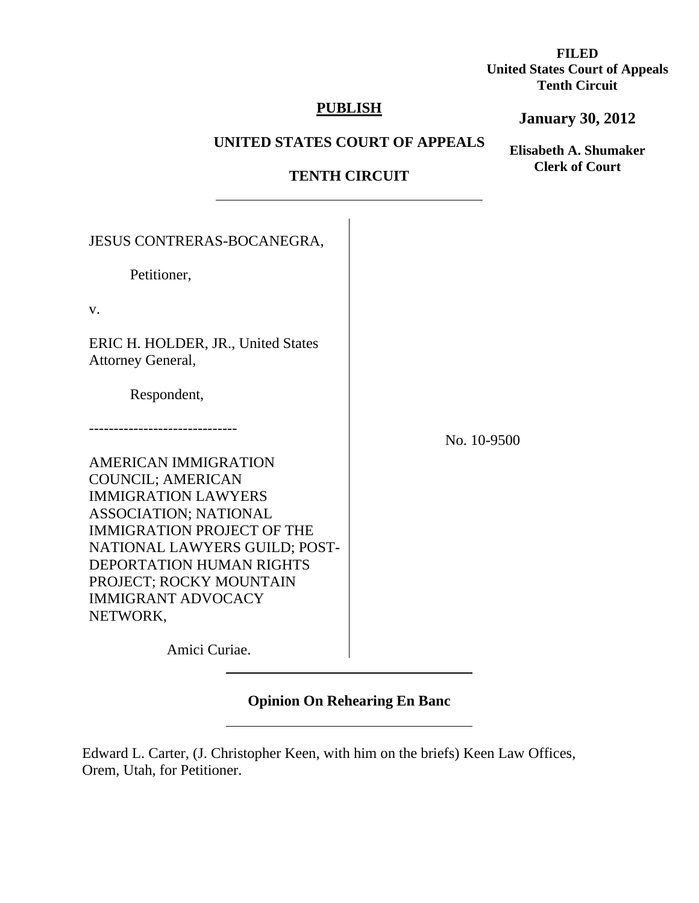**FILED United States Court of Appeals Tenth Circuit** 

## **PUBLISH**

## **January 30, 2012**

## **UNITED STATES COURT OF APPEALS**

**Elisabeth A. Shumaker Clerk of Court**

# **TENTH CIRCUIT**

| <b>JESUS CONTRERAS-BOCANEGRA,</b>                       |             |
|---------------------------------------------------------|-------------|
| Petitioner,                                             |             |
| V.                                                      |             |
| ERIC H. HOLDER, JR., United States<br>Attorney General, |             |
| Respondent,                                             |             |
|                                                         | No. 10-9500 |
| <b>AMERICAN IMMIGRATION</b>                             |             |
| <b>COUNCIL; AMERICAN</b>                                |             |
| <b>IMMIGRATION LAWYERS</b>                              |             |
| ASSOCIATION; NATIONAL                                   |             |
| <b>IMMIGRATION PROJECT OF THE</b>                       |             |
| NATIONAL LAWYERS GUILD; POST-                           |             |
| DEPORTATION HUMAN RIGHTS                                |             |
| PROJECT; ROCKY MOUNTAIN                                 |             |
| <b>IMMIGRANT ADVOCACY</b>                               |             |
| NETWORK,                                                |             |
| Amici Curiae.                                           |             |

 $\overline{a}$ 

# **Opinion On Rehearing En Banc**

Edward L. Carter, (J. Christopher Keen, with him on the briefs) Keen Law Offices, Orem, Utah, for Petitioner.

 $\overline{a}$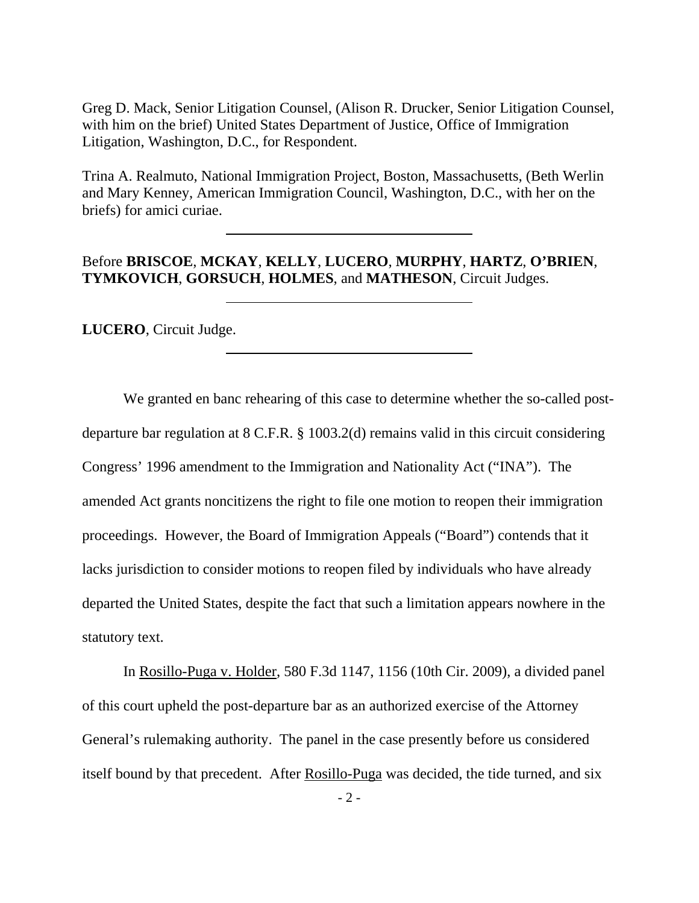Greg D. Mack, Senior Litigation Counsel, (Alison R. Drucker, Senior Litigation Counsel, with him on the brief) United States Department of Justice, Office of Immigration Litigation, Washington, D.C., for Respondent.

Trina A. Realmuto, National Immigration Project, Boston, Massachusetts, (Beth Werlin and Mary Kenney, American Immigration Council, Washington, D.C., with her on the briefs) for amici curiae.

## Before **BRISCOE**, **MCKAY**, **KELLY**, **LUCERO**, **MURPHY**, **HARTZ**, **O'BRIEN**, **TYMKOVICH**, **GORSUCH**, **HOLMES**, and **MATHESON**, Circuit Judges.

**LUCERO**, Circuit Judge.

 $\overline{a}$ 

 $\overline{a}$ 

 $\overline{a}$ 

 We granted en banc rehearing of this case to determine whether the so-called postdeparture bar regulation at 8 C.F.R. § 1003.2(d) remains valid in this circuit considering Congress' 1996 amendment to the Immigration and Nationality Act ("INA"). The amended Act grants noncitizens the right to file one motion to reopen their immigration proceedings. However, the Board of Immigration Appeals ("Board") contends that it lacks jurisdiction to consider motions to reopen filed by individuals who have already departed the United States, despite the fact that such a limitation appears nowhere in the statutory text.

 In Rosillo-Puga v. Holder, 580 F.3d 1147, 1156 (10th Cir. 2009), a divided panel of this court upheld the post-departure bar as an authorized exercise of the Attorney General's rulemaking authority. The panel in the case presently before us considered itself bound by that precedent. After Rosillo-Puga was decided, the tide turned, and six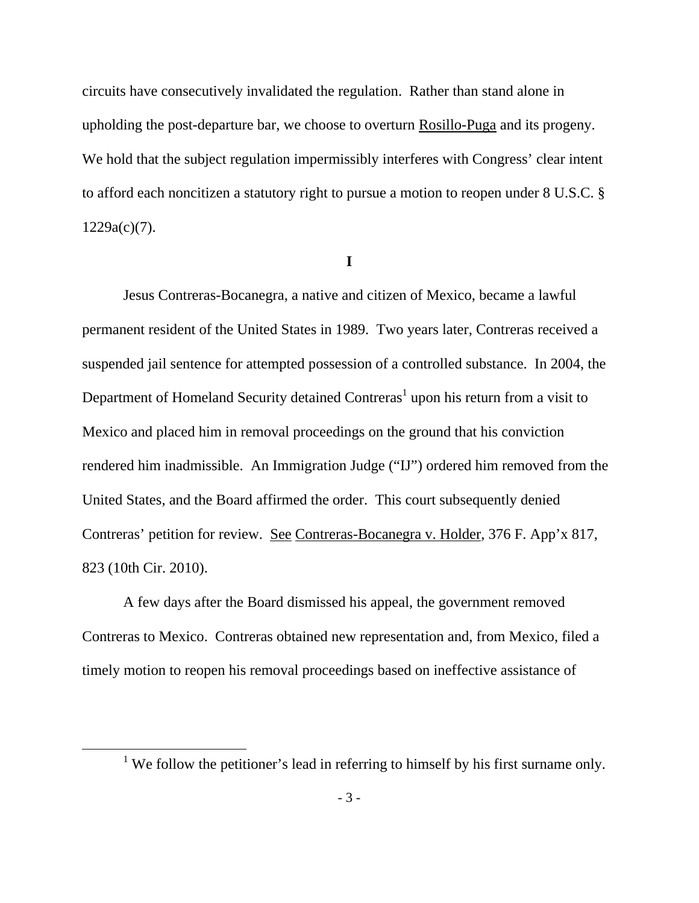circuits have consecutively invalidated the regulation. Rather than stand alone in upholding the post-departure bar, we choose to overturn Rosillo-Puga and its progeny. We hold that the subject regulation impermissibly interferes with Congress' clear intent to afford each noncitizen a statutory right to pursue a motion to reopen under 8 U.S.C. § 1229a(c)(7).

**I** 

 Jesus Contreras-Bocanegra, a native and citizen of Mexico, became a lawful permanent resident of the United States in 1989. Two years later, Contreras received a suspended jail sentence for attempted possession of a controlled substance. In 2004, the Department of Homeland Security detained Contreras<sup>1</sup> upon his return from a visit to Mexico and placed him in removal proceedings on the ground that his conviction rendered him inadmissible. An Immigration Judge ("IJ") ordered him removed from the United States, and the Board affirmed the order. This court subsequently denied Contreras' petition for review. See Contreras-Bocanegra v. Holder, 376 F. App'x 817, 823 (10th Cir. 2010).

A few days after the Board dismissed his appeal, the government removed Contreras to Mexico. Contreras obtained new representation and, from Mexico, filed a timely motion to reopen his removal proceedings based on ineffective assistance of

<sup>&</sup>lt;u>1</u> <sup>1</sup> We follow the petitioner's lead in referring to himself by his first surname only.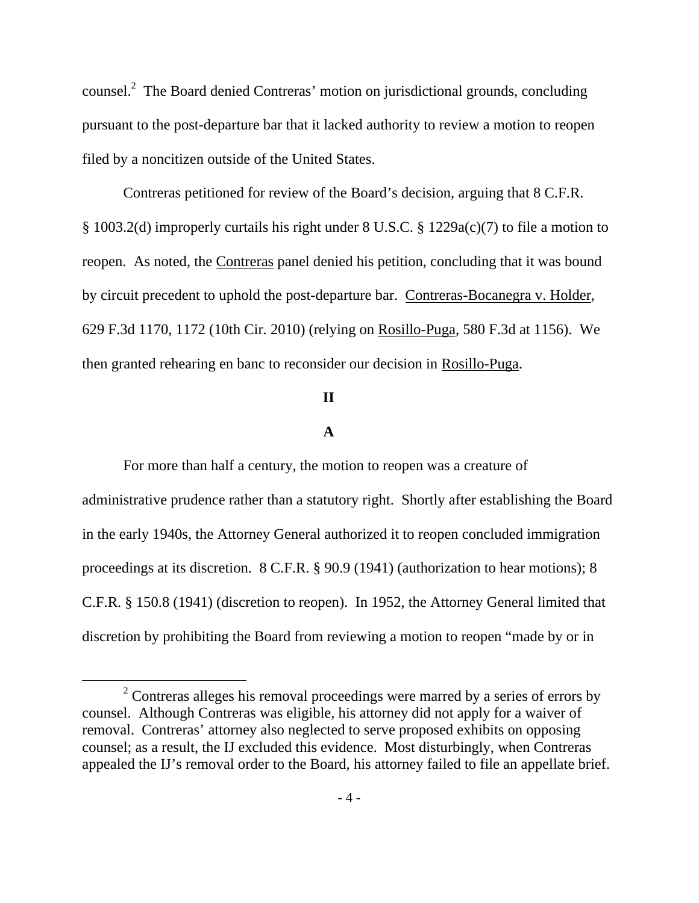counsel. $^2$  The Board denied Contreras' motion on jurisdictional grounds, concluding pursuant to the post-departure bar that it lacked authority to review a motion to reopen filed by a noncitizen outside of the United States.

 Contreras petitioned for review of the Board's decision, arguing that 8 C.F.R. § 1003.2(d) improperly curtails his right under 8 U.S.C. § 1229a(c)(7) to file a motion to reopen. As noted, the Contreras panel denied his petition, concluding that it was bound by circuit precedent to uphold the post-departure bar. Contreras-Bocanegra v. Holder, 629 F.3d 1170, 1172 (10th Cir. 2010) (relying on Rosillo-Puga, 580 F.3d at 1156). We then granted rehearing en banc to reconsider our decision in Rosillo-Puga.

### **II**

## **A**

For more than half a century, the motion to reopen was a creature of administrative prudence rather than a statutory right. Shortly after establishing the Board in the early 1940s, the Attorney General authorized it to reopen concluded immigration proceedings at its discretion. 8 C.F.R. § 90.9 (1941) (authorization to hear motions); 8 C.F.R. § 150.8 (1941) (discretion to reopen). In 1952, the Attorney General limited that discretion by prohibiting the Board from reviewing a motion to reopen "made by or in

 <sup>2</sup>  $2$  Contreras alleges his removal proceedings were marred by a series of errors by counsel. Although Contreras was eligible, his attorney did not apply for a waiver of removal. Contreras' attorney also neglected to serve proposed exhibits on opposing counsel; as a result, the IJ excluded this evidence. Most disturbingly, when Contreras appealed the IJ's removal order to the Board, his attorney failed to file an appellate brief.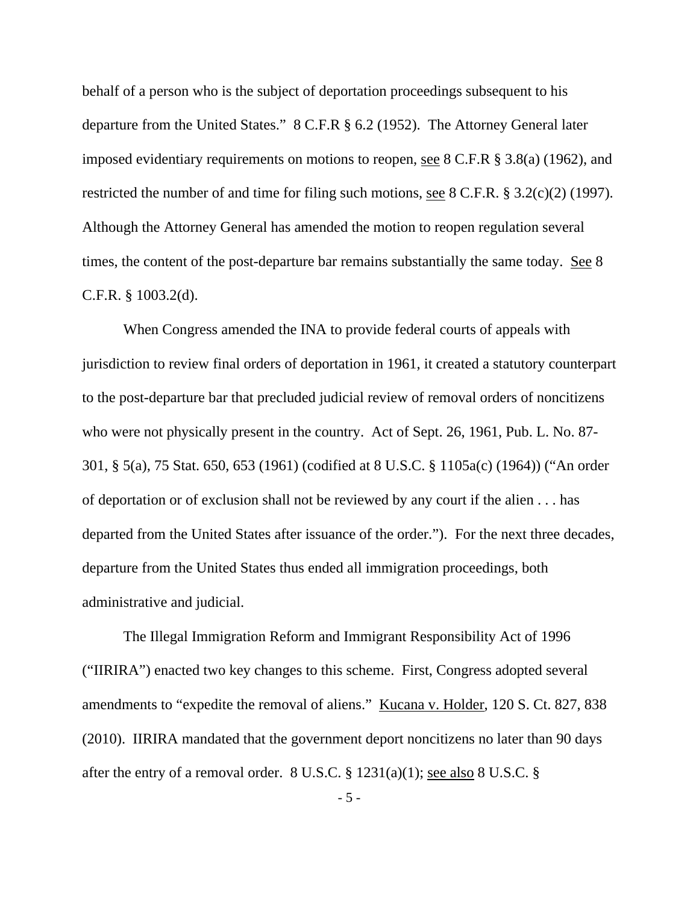behalf of a person who is the subject of deportation proceedings subsequent to his departure from the United States." 8 C.F.R § 6.2 (1952). The Attorney General later imposed evidentiary requirements on motions to reopen, see 8 C.F.R § 3.8(a) (1962), and restricted the number of and time for filing such motions, see 8 C.F.R. § 3.2(c)(2) (1997). Although the Attorney General has amended the motion to reopen regulation several times, the content of the post-departure bar remains substantially the same today. See 8 C.F.R. § 1003.2(d).

 When Congress amended the INA to provide federal courts of appeals with jurisdiction to review final orders of deportation in 1961, it created a statutory counterpart to the post-departure bar that precluded judicial review of removal orders of noncitizens who were not physically present in the country. Act of Sept. 26, 1961, Pub. L. No. 87- 301, § 5(a), 75 Stat. 650, 653 (1961) (codified at 8 U.S.C. § 1105a(c) (1964)) ("An order of deportation or of exclusion shall not be reviewed by any court if the alien . . . has departed from the United States after issuance of the order."). For the next three decades, departure from the United States thus ended all immigration proceedings, both administrative and judicial.

 The Illegal Immigration Reform and Immigrant Responsibility Act of 1996 ("IIRIRA") enacted two key changes to this scheme. First, Congress adopted several amendments to "expedite the removal of aliens." Kucana v. Holder, 120 S. Ct. 827, 838 (2010). IIRIRA mandated that the government deport noncitizens no later than 90 days after the entry of a removal order.  $8 \text{ U.S.C.} \$   $1231(a)(1)$ ; see also  $8 \text{ U.S.C.} \$ 

- 5 -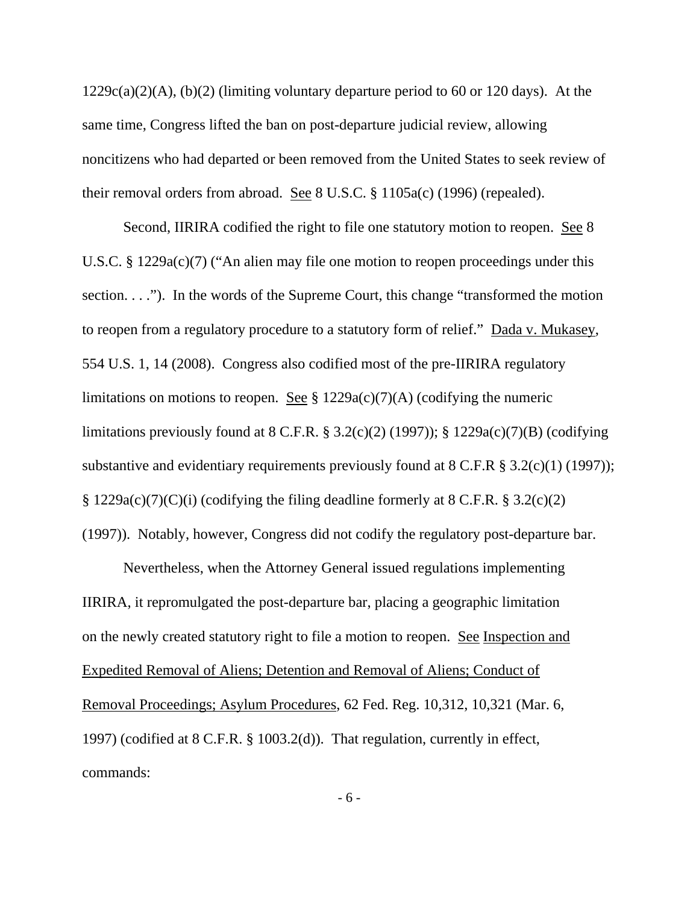$1229c(a)(2)(A)$ , (b)(2) (limiting voluntary departure period to 60 or 120 days). At the same time, Congress lifted the ban on post-departure judicial review, allowing noncitizens who had departed or been removed from the United States to seek review of their removal orders from abroad. See 8 U.S.C. § 1105a(c) (1996) (repealed).

 Second, IIRIRA codified the right to file one statutory motion to reopen. See 8 U.S.C. § 1229a(c)(7) ("An alien may file one motion to reopen proceedings under this section. . . ."). In the words of the Supreme Court, this change "transformed the motion to reopen from a regulatory procedure to a statutory form of relief." Dada v. Mukasey, 554 U.S. 1, 14 (2008). Congress also codified most of the pre-IIRIRA regulatory limitations on motions to reopen. See  $\S 1229a(c)(7)(A)$  (codifying the numeric limitations previously found at  $8$  C.F.R.  $\S 3.2(c)(2)$  (1997));  $\S 1229a(c)(7)(B)$  (codifying substantive and evidentiary requirements previously found at  $8 \text{ C.F.R } \S 3.2(c)(1) (1997))$ ;  $\S$  1229a(c)(7)(C)(i) (codifying the filing deadline formerly at 8 C.F.R.  $\S$  3.2(c)(2) (1997)). Notably, however, Congress did not codify the regulatory post-departure bar.

Nevertheless, when the Attorney General issued regulations implementing IIRIRA, it repromulgated the post-departure bar, placing a geographic limitation on the newly created statutory right to file a motion to reopen. See Inspection and Expedited Removal of Aliens; Detention and Removal of Aliens; Conduct of Removal Proceedings; Asylum Procedures, 62 Fed. Reg. 10,312, 10,321 (Mar. 6, 1997) (codified at 8 C.F.R. § 1003.2(d)). That regulation, currently in effect, commands: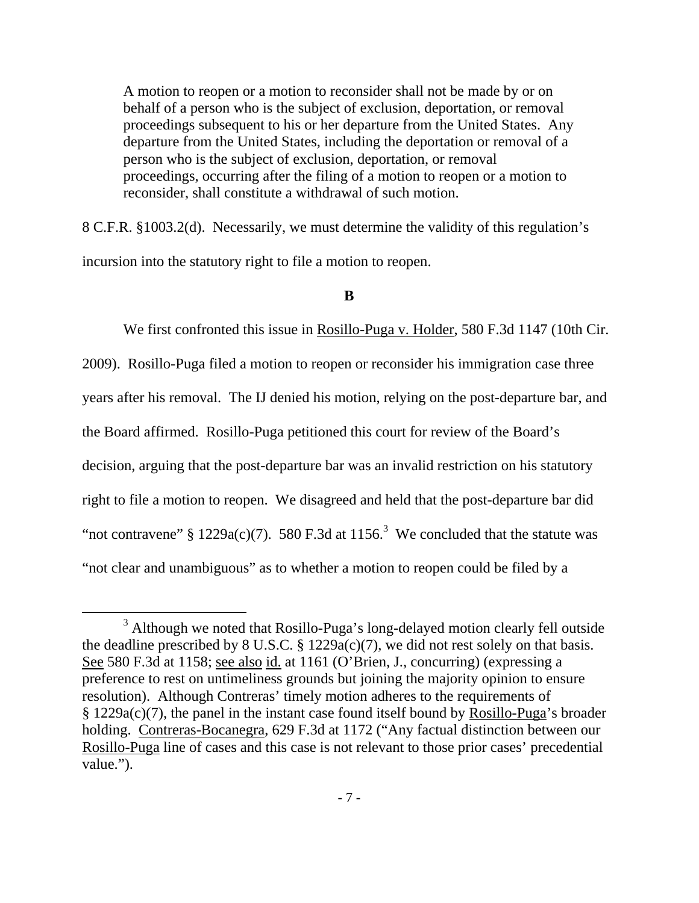A motion to reopen or a motion to reconsider shall not be made by or on behalf of a person who is the subject of exclusion, deportation, or removal proceedings subsequent to his or her departure from the United States. Any departure from the United States, including the deportation or removal of a person who is the subject of exclusion, deportation, or removal proceedings, occurring after the filing of a motion to reopen or a motion to reconsider, shall constitute a withdrawal of such motion.

8 C.F.R. §1003.2(d). Necessarily, we must determine the validity of this regulation's incursion into the statutory right to file a motion to reopen.

### **B**

 We first confronted this issue in Rosillo-Puga v. Holder, 580 F.3d 1147 (10th Cir. 2009). Rosillo-Puga filed a motion to reopen or reconsider his immigration case three years after his removal. The IJ denied his motion, relying on the post-departure bar, and the Board affirmed. Rosillo-Puga petitioned this court for review of the Board's decision, arguing that the post-departure bar was an invalid restriction on his statutory right to file a motion to reopen. We disagreed and held that the post-departure bar did "not contravene" § 1229a(c)(7). 580 F.3d at 1156.<sup>3</sup> We concluded that the statute was "not clear and unambiguous" as to whether a motion to reopen could be filed by a

 $\frac{1}{3}$ <sup>3</sup> Although we noted that Rosillo-Puga's long-delayed motion clearly fell outside the deadline prescribed by 8 U.S.C.  $\S$  1229a(c)(7), we did not rest solely on that basis. See 580 F.3d at 1158; see also id. at 1161 (O'Brien, J., concurring) (expressing a preference to rest on untimeliness grounds but joining the majority opinion to ensure resolution). Although Contreras' timely motion adheres to the requirements of § 1229a(c)(7), the panel in the instant case found itself bound by Rosillo-Puga's broader holding. Contreras-Bocanegra, 629 F.3d at 1172 ("Any factual distinction between our Rosillo-Puga line of cases and this case is not relevant to those prior cases' precedential value.").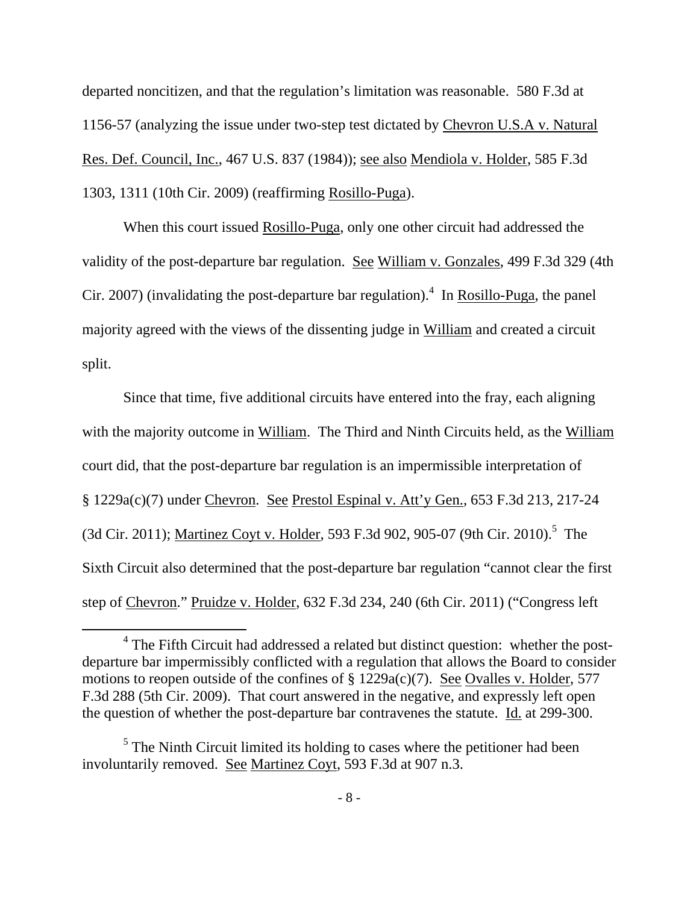departed noncitizen, and that the regulation's limitation was reasonable. 580 F.3d at 1156-57 (analyzing the issue under two-step test dictated by Chevron U.S.A v. Natural Res. Def. Council, Inc., 467 U.S. 837 (1984)); see also Mendiola v. Holder, 585 F.3d 1303, 1311 (10th Cir. 2009) (reaffirming Rosillo-Puga).

 When this court issued Rosillo-Puga, only one other circuit had addressed the validity of the post-departure bar regulation. See William v. Gonzales, 499 F.3d 329 (4th Cir. 2007) (invalidating the post-departure bar regulation).<sup>4</sup> In **Rosillo-Puga**, the panel majority agreed with the views of the dissenting judge in William and created a circuit split.

 Since that time, five additional circuits have entered into the fray, each aligning with the majority outcome in William. The Third and Ninth Circuits held, as the William court did, that the post-departure bar regulation is an impermissible interpretation of § 1229a(c)(7) under Chevron. See Prestol Espinal v. Att'y Gen., 653 F.3d 213, 217-24 (3d Cir. 2011); Martinez Coyt v. Holder, 593 F.3d 902, 905-07 (9th Cir. 2010).<sup>5</sup> The Sixth Circuit also determined that the post-departure bar regulation "cannot clear the first step of Chevron." Pruidze v. Holder, 632 F.3d 234, 240 (6th Cir. 2011) ("Congress left

 $\overline{4}$ <sup>4</sup> The Fifth Circuit had addressed a related but distinct question: whether the postdeparture bar impermissibly conflicted with a regulation that allows the Board to consider motions to reopen outside of the confines of  $\S 1229a(c)(7)$ . See Ovalles v. Holder, 577 F.3d 288 (5th Cir. 2009). That court answered in the negative, and expressly left open the question of whether the post-departure bar contravenes the statute. Id. at 299-300.

 $<sup>5</sup>$  The Ninth Circuit limited its holding to cases where the petitioner had been</sup> involuntarily removed. See Martinez Coyt, 593 F.3d at 907 n.3.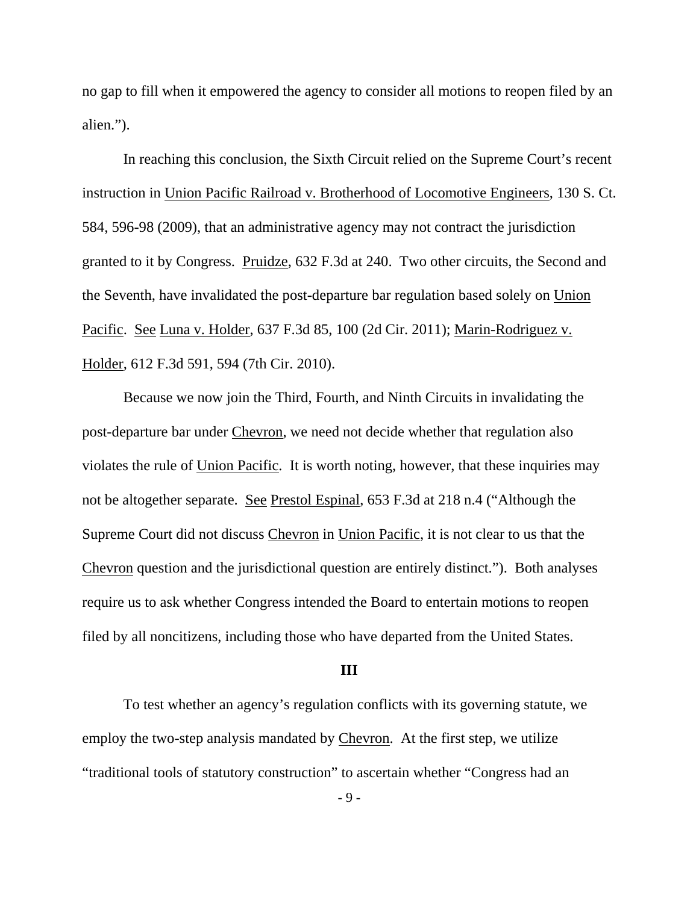no gap to fill when it empowered the agency to consider all motions to reopen filed by an alien.").

 In reaching this conclusion, the Sixth Circuit relied on the Supreme Court's recent instruction in Union Pacific Railroad v. Brotherhood of Locomotive Engineers, 130 S. Ct. 584, 596-98 (2009), that an administrative agency may not contract the jurisdiction granted to it by Congress. Pruidze, 632 F.3d at 240. Two other circuits, the Second and the Seventh, have invalidated the post-departure bar regulation based solely on Union Pacific. See Luna v. Holder, 637 F.3d 85, 100 (2d Cir. 2011); Marin-Rodriguez v. Holder, 612 F.3d 591, 594 (7th Cir. 2010).

 Because we now join the Third, Fourth, and Ninth Circuits in invalidating the post-departure bar under Chevron, we need not decide whether that regulation also violates the rule of Union Pacific. It is worth noting, however, that these inquiries may not be altogether separate. See Prestol Espinal, 653 F.3d at 218 n.4 ("Although the Supreme Court did not discuss Chevron in Union Pacific, it is not clear to us that the Chevron question and the jurisdictional question are entirely distinct."). Both analyses require us to ask whether Congress intended the Board to entertain motions to reopen filed by all noncitizens, including those who have departed from the United States.

### **III**

 To test whether an agency's regulation conflicts with its governing statute, we employ the two-step analysis mandated by Chevron. At the first step, we utilize "traditional tools of statutory construction" to ascertain whether "Congress had an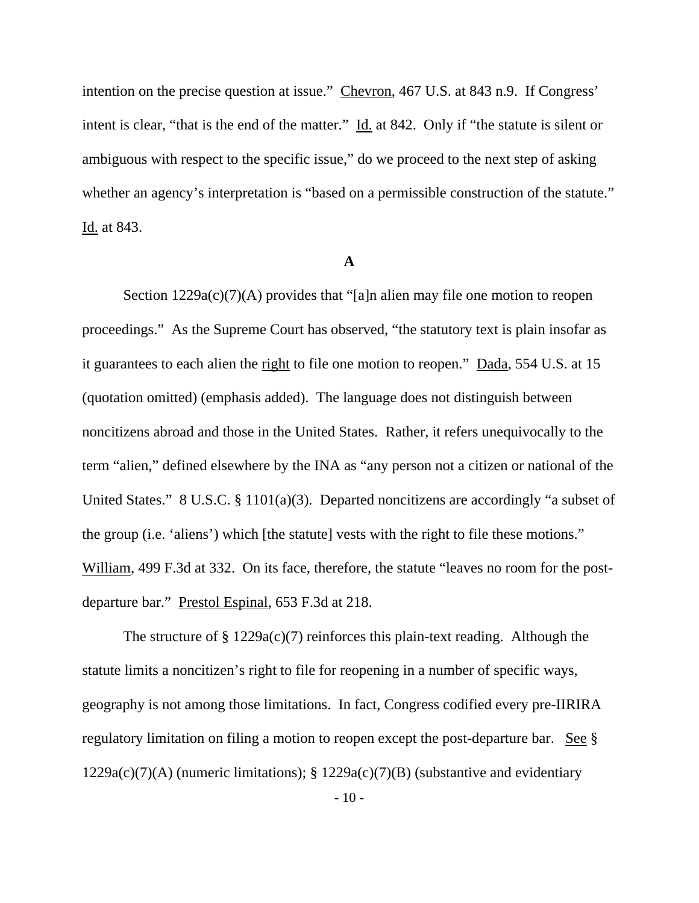intention on the precise question at issue." Chevron, 467 U.S. at 843 n.9. If Congress' intent is clear, "that is the end of the matter." Id. at 842. Only if "the statute is silent or ambiguous with respect to the specific issue," do we proceed to the next step of asking whether an agency's interpretation is "based on a permissible construction of the statute." Id. at 843.

### **A**

Section  $1229a(c)(7)(A)$  provides that "[a]n alien may file one motion to reopen proceedings." As the Supreme Court has observed, "the statutory text is plain insofar as it guarantees to each alien the right to file one motion to reopen." Dada, 554 U.S. at 15 (quotation omitted) (emphasis added). The language does not distinguish between noncitizens abroad and those in the United States. Rather, it refers unequivocally to the term "alien," defined elsewhere by the INA as "any person not a citizen or national of the United States." 8 U.S.C. § 1101(a)(3). Departed noncitizens are accordingly "a subset of the group (i.e. 'aliens') which [the statute] vests with the right to file these motions." William, 499 F.3d at 332. On its face, therefore, the statute "leaves no room for the postdeparture bar." Prestol Espinal, 653 F.3d at 218.

The structure of  $\S 1229a(c)(7)$  reinforces this plain-text reading. Although the statute limits a noncitizen's right to file for reopening in a number of specific ways, geography is not among those limitations. In fact, Congress codified every pre-IIRIRA regulatory limitation on filing a motion to reopen except the post-departure bar. See § 1229a(c)(7)(A) (numeric limitations); § 1229a(c)(7)(B) (substantive and evidentiary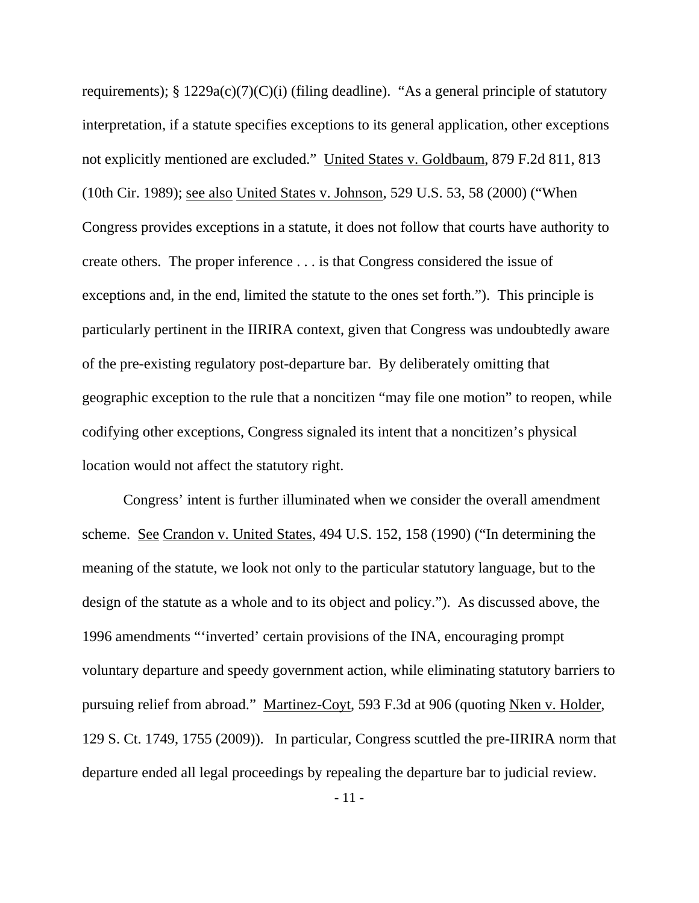requirements);  $\S 1229a(c)(7)(C)(i)$  (filing deadline). "As a general principle of statutory interpretation, if a statute specifies exceptions to its general application, other exceptions not explicitly mentioned are excluded." United States v. Goldbaum, 879 F.2d 811, 813 (10th Cir. 1989); see also United States v. Johnson, 529 U.S. 53, 58 (2000) ("When Congress provides exceptions in a statute, it does not follow that courts have authority to create others. The proper inference . . . is that Congress considered the issue of exceptions and, in the end, limited the statute to the ones set forth."). This principle is particularly pertinent in the IIRIRA context, given that Congress was undoubtedly aware of the pre-existing regulatory post-departure bar. By deliberately omitting that geographic exception to the rule that a noncitizen "may file one motion" to reopen, while codifying other exceptions, Congress signaled its intent that a noncitizen's physical location would not affect the statutory right.

 Congress' intent is further illuminated when we consider the overall amendment scheme. See Crandon v. United States, 494 U.S. 152, 158 (1990) ("In determining the meaning of the statute, we look not only to the particular statutory language, but to the design of the statute as a whole and to its object and policy."). As discussed above, the 1996 amendments "'inverted' certain provisions of the INA, encouraging prompt voluntary departure and speedy government action, while eliminating statutory barriers to pursuing relief from abroad." Martinez-Coyt, 593 F.3d at 906 (quoting Nken v. Holder, 129 S. Ct. 1749, 1755 (2009)). In particular, Congress scuttled the pre-IIRIRA norm that departure ended all legal proceedings by repealing the departure bar to judicial review.

- 11 -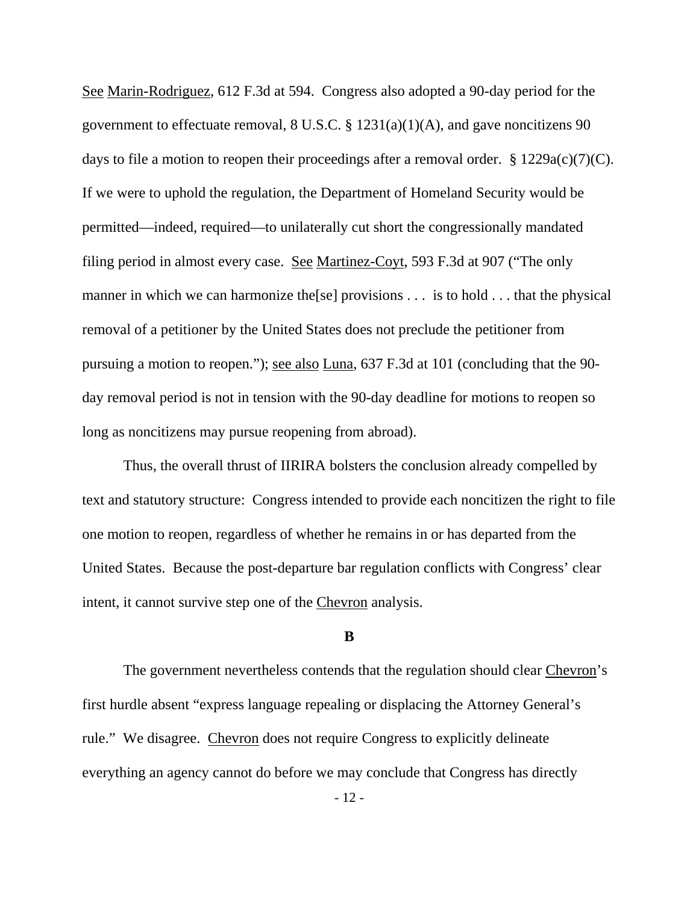See Marin-Rodriguez, 612 F.3d at 594. Congress also adopted a 90-day period for the government to effectuate removal, 8 U.S.C. § 1231(a)(1)(A), and gave noncitizens 90 days to file a motion to reopen their proceedings after a removal order.  $\S 1229a(c)(7)(C)$ . If we were to uphold the regulation, the Department of Homeland Security would be permitted—indeed, required—to unilaterally cut short the congressionally mandated filing period in almost every case. See Martinez-Coyt, 593 F.3d at 907 ("The only manner in which we can harmonize the [se] provisions . . . is to hold . . . that the physical removal of a petitioner by the United States does not preclude the petitioner from pursuing a motion to reopen."); see also Luna, 637 F.3d at 101 (concluding that the 90 day removal period is not in tension with the 90-day deadline for motions to reopen so long as noncitizens may pursue reopening from abroad).

 Thus, the overall thrust of IIRIRA bolsters the conclusion already compelled by text and statutory structure: Congress intended to provide each noncitizen the right to file one motion to reopen, regardless of whether he remains in or has departed from the United States. Because the post-departure bar regulation conflicts with Congress' clear intent, it cannot survive step one of the Chevron analysis.

#### **B**

The government nevertheless contends that the regulation should clear Chevron's first hurdle absent "express language repealing or displacing the Attorney General's rule." We disagree. Chevron does not require Congress to explicitly delineate everything an agency cannot do before we may conclude that Congress has directly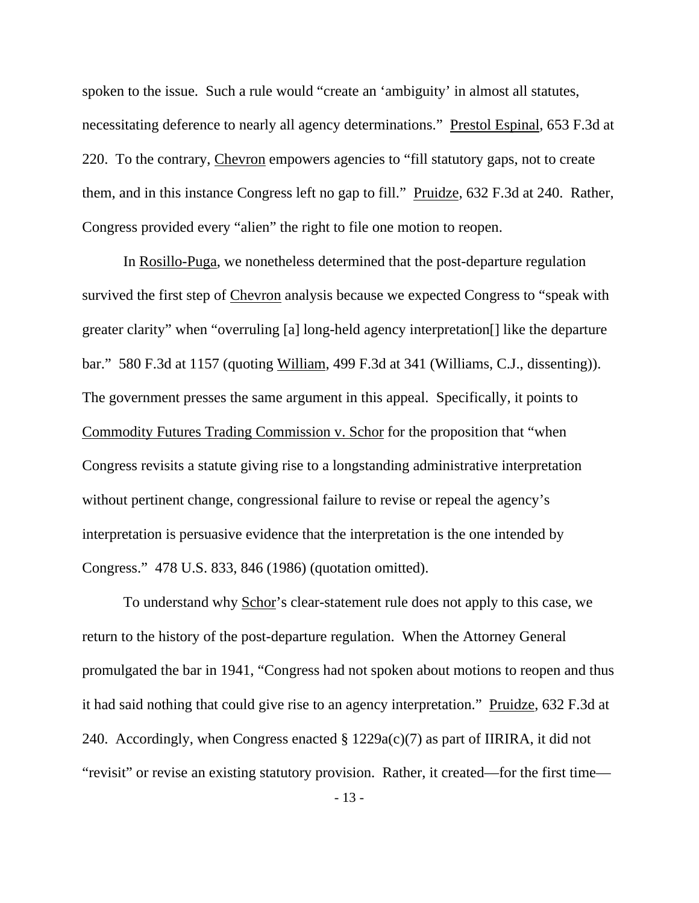spoken to the issue. Such a rule would "create an 'ambiguity' in almost all statutes, necessitating deference to nearly all agency determinations." Prestol Espinal, 653 F.3d at 220. To the contrary, Chevron empowers agencies to "fill statutory gaps, not to create them, and in this instance Congress left no gap to fill." Pruidze, 632 F.3d at 240. Rather, Congress provided every "alien" the right to file one motion to reopen.

 In Rosillo-Puga, we nonetheless determined that the post-departure regulation survived the first step of Chevron analysis because we expected Congress to "speak with greater clarity" when "overruling [a] long-held agency interpretation[] like the departure bar." 580 F.3d at 1157 (quoting William, 499 F.3d at 341 (Williams, C.J., dissenting)). The government presses the same argument in this appeal. Specifically, it points to Commodity Futures Trading Commission v. Schor for the proposition that "when Congress revisits a statute giving rise to a longstanding administrative interpretation without pertinent change, congressional failure to revise or repeal the agency's interpretation is persuasive evidence that the interpretation is the one intended by Congress." 478 U.S. 833, 846 (1986) (quotation omitted).

 To understand why Schor's clear-statement rule does not apply to this case, we return to the history of the post-departure regulation. When the Attorney General promulgated the bar in 1941, "Congress had not spoken about motions to reopen and thus it had said nothing that could give rise to an agency interpretation." Pruidze, 632 F.3d at 240. Accordingly, when Congress enacted  $\S 1229a(c)(7)$  as part of IIRIRA, it did not "revisit" or revise an existing statutory provision. Rather, it created—for the first time—

- 13 -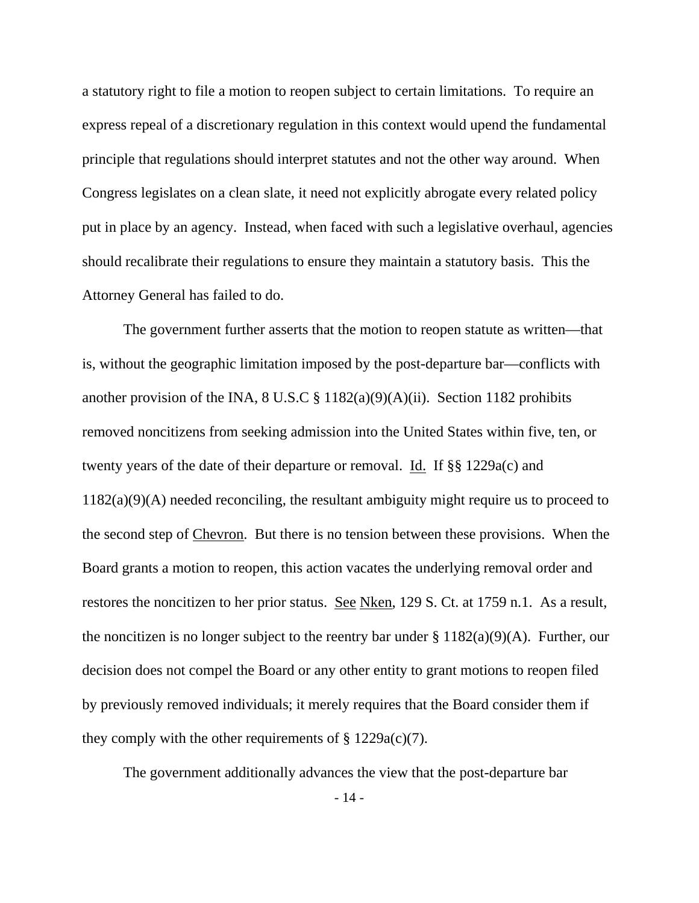a statutory right to file a motion to reopen subject to certain limitations. To require an express repeal of a discretionary regulation in this context would upend the fundamental principle that regulations should interpret statutes and not the other way around. When Congress legislates on a clean slate, it need not explicitly abrogate every related policy put in place by an agency. Instead, when faced with such a legislative overhaul, agencies should recalibrate their regulations to ensure they maintain a statutory basis. This the Attorney General has failed to do.

 The government further asserts that the motion to reopen statute as written—that is, without the geographic limitation imposed by the post-departure bar—conflicts with another provision of the INA,  $8 \text{ U.S. C} \$  $1182(a)(9)(A)(ii)$ . Section 1182 prohibits removed noncitizens from seeking admission into the United States within five, ten, or twenty years of the date of their departure or removal. Id. If §§ 1229a(c) and 1182(a)(9)(A) needed reconciling, the resultant ambiguity might require us to proceed to the second step of Chevron. But there is no tension between these provisions. When the Board grants a motion to reopen, this action vacates the underlying removal order and restores the noncitizen to her prior status. See Nken, 129 S. Ct. at 1759 n.1. As a result, the noncitizen is no longer subject to the reentry bar under  $\S 1182(a)(9)(A)$ . Further, our decision does not compel the Board or any other entity to grant motions to reopen filed by previously removed individuals; it merely requires that the Board consider them if they comply with the other requirements of  $\S 1229a(c)(7)$ .

The government additionally advances the view that the post-departure bar

- 14 -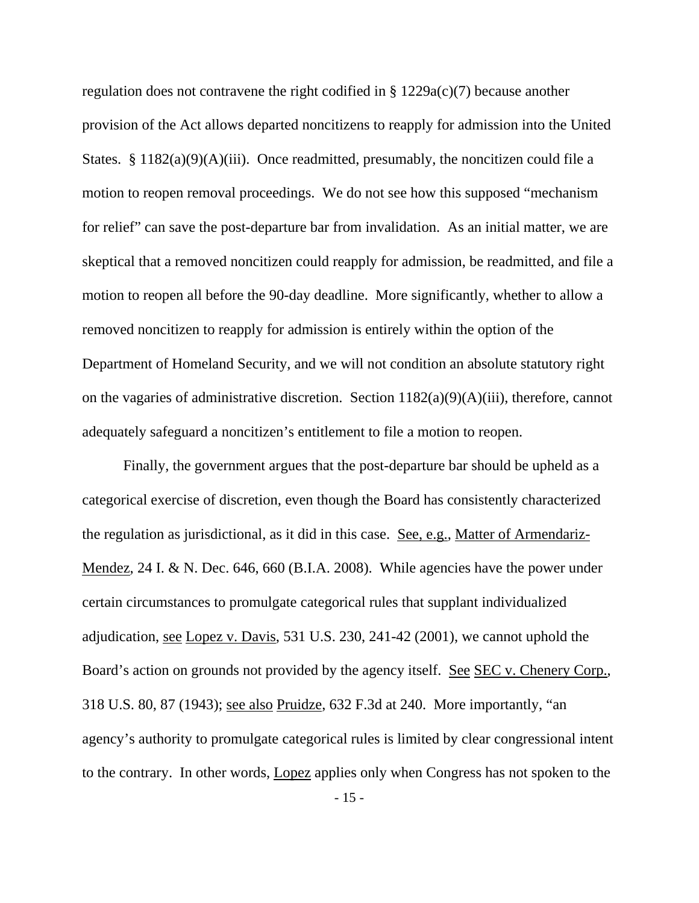regulation does not contravene the right codified in § 1229a(c)(7) because another provision of the Act allows departed noncitizens to reapply for admission into the United States. §  $1182(a)(9)(A)(iii)$ . Once readmitted, presumably, the noncitizen could file a motion to reopen removal proceedings. We do not see how this supposed "mechanism for relief" can save the post-departure bar from invalidation. As an initial matter, we are skeptical that a removed noncitizen could reapply for admission, be readmitted, and file a motion to reopen all before the 90-day deadline. More significantly, whether to allow a removed noncitizen to reapply for admission is entirely within the option of the Department of Homeland Security, and we will not condition an absolute statutory right on the vagaries of administrative discretion. Section 1182(a)(9)(A)(iii), therefore, cannot adequately safeguard a noncitizen's entitlement to file a motion to reopen.

 Finally, the government argues that the post-departure bar should be upheld as a categorical exercise of discretion, even though the Board has consistently characterized the regulation as jurisdictional, as it did in this case. See, e.g., Matter of Armendariz-Mendez, 24 I. & N. Dec. 646, 660 (B.I.A. 2008). While agencies have the power under certain circumstances to promulgate categorical rules that supplant individualized adjudication, see Lopez v. Davis, 531 U.S. 230, 241-42 (2001), we cannot uphold the Board's action on grounds not provided by the agency itself. See SEC v. Chenery Corp., 318 U.S. 80, 87 (1943); see also Pruidze, 632 F.3d at 240. More importantly, "an agency's authority to promulgate categorical rules is limited by clear congressional intent to the contrary. In other words, Lopez applies only when Congress has not spoken to the

- 15 -